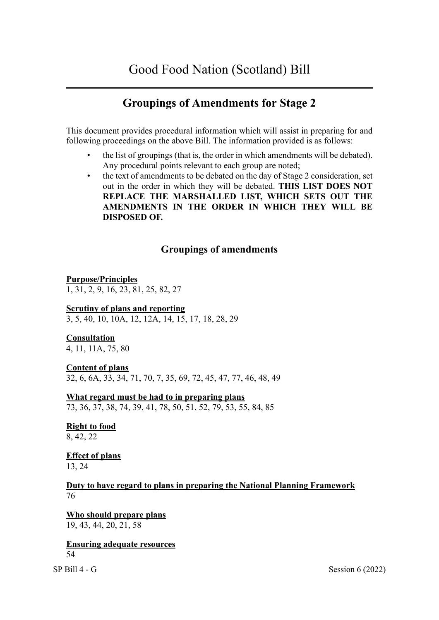# **Groupings of Amendments for Stage 2**

This document provides procedural information which will assist in preparing for and following proceedings on the above Bill. The information provided is as follows:

- the list of groupings (that is, the order in which amendments will be debated). Any procedural points relevant to each group are noted;
- the text of amendments to be debated on the day of Stage 2 consideration, set out in the order in which they will be debated. **THIS LIST DOES NOT REPLACE THE MARSHALLED LIST, WHICH SETS OUT THE AMENDMENTS IN THE ORDER IN WHICH THEY WILL BE DISPOSED OF.**

# **Groupings of amendments**

**Purpose/Principles**  1, 31, 2, 9, 16, 23, 81, 25, 82, 27

#### **Scrutiny of plans and reporting**  3, 5, 40, 10, 10A, 12, 12A, 14, 15, 17, 18, 28, 29

## **Consultation**

4, 11, 11A, 75, 80

## **Content of plans**

32, 6, 6A, 33, 34, 71, 70, 7, 35, 69, 72, 45, 47, 77, 46, 48, 49

**What regard must be had to in preparing plans**  73, 36, 37, 38, 74, 39, 41, 78, 50, 51, 52, 79, 53, 55, 84, 85

**Right to food**  8, 42, 22

**Effect of plans**  13, 24

**Duty to have regard to plans in preparing the National Planning Framework**  76

**Who should prepare plans**  19, 43, 44, 20, 21, 58

**Ensuring adequate resources**  54

 $SP \text{ Bill } 4 \text{ - } G$  Session 6 (2022)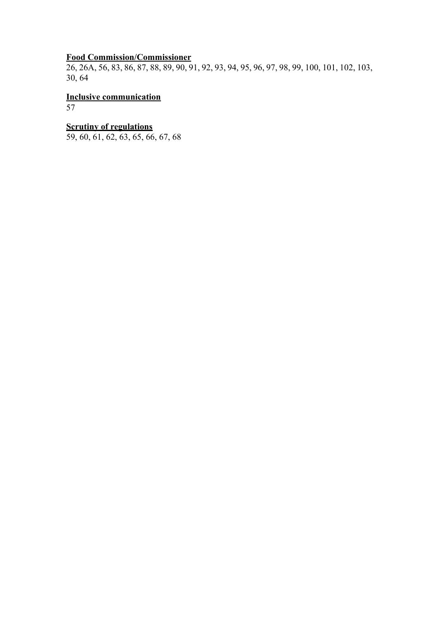# **Food Commission/Commissioner**

26, 26A, 56, 83, 86, 87, 88, 89, 90, 91, 92, 93, 94, 95, 96, 97, 98, 99, 100, 101, 102, 103, 30, 64

**Inclusive communication**  57

# **Scrutiny of regulations**

59, 60, 61, 62, 63, 65, 66, 67, 68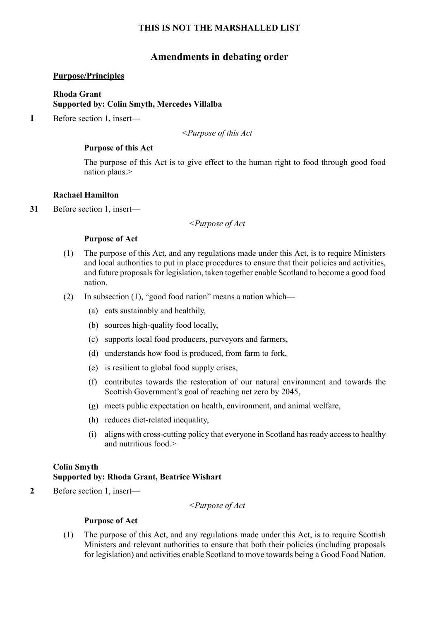## **Amendments in debating order**

#### **Purpose/Principles**

## **Rhoda Grant Supported by: Colin Smyth, Mercedes Villalba**

**1** Before section 1, insert—

*<Purpose of this Act* 

#### **Purpose of this Act**

The purpose of this Act is to give effect to the human right to food through good food nation plans.>

#### **Rachael Hamilton**

**31** Before section 1, insert—

*<Purpose of Act* 

#### **Purpose of Act**

- (1) The purpose of this Act, and any regulations made under this Act, is to require Ministers and local authorities to put in place procedures to ensure that their policies and activities, and future proposals for legislation, taken together enable Scotland to become a good food nation.
- (2) In subsection (1), "good food nation" means a nation which—
	- (a) eats sustainably and healthily,
	- (b) sources high-quality food locally,
	- (c) supports local food producers, purveyors and farmers,
	- (d) understands how food is produced, from farm to fork,
	- (e) is resilient to global food supply crises,
	- (f) contributes towards the restoration of our natural environment and towards the Scottish Government's goal of reaching net zero by 2045,
	- (g) meets public expectation on health, environment, and animal welfare,
	- (h) reduces diet-related inequality,
	- (i) aligns with cross-cutting policy that everyone in Scotland hasready accessto healthy and nutritious food.>

## **Colin Smyth**

## **Supported by: Rhoda Grant, Beatrice Wishart**

**2** Before section 1, insert—

*<Purpose of Act* 

#### **Purpose of Act**

(1) The purpose of this Act, and any regulations made under this Act, is to require Scottish Ministers and relevant authorities to ensure that both their policies (including proposals for legislation) and activities enable Scotland to move towards being a Good Food Nation.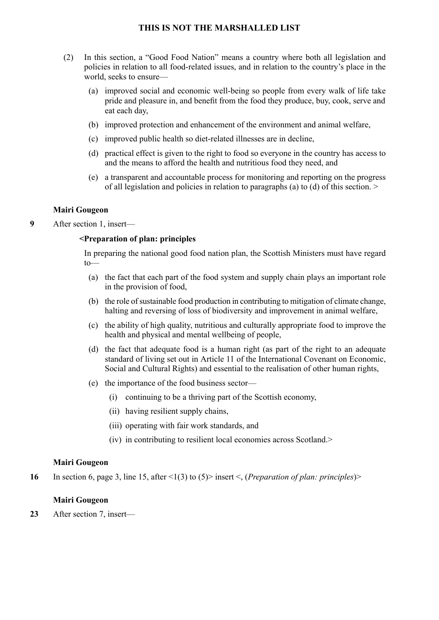- (2) In this section, a "Good Food Nation" means a country where both all legislation and policies in relation to all food-related issues, and in relation to the country's place in the world, seeks to ensure—
	- (a) improved social and economic well-being so people from every walk of life take pride and pleasure in, and benefit from the food they produce, buy, cook, serve and eat each day,
	- (b) improved protection and enhancement of the environment and animal welfare,
	- (c) improved public health so diet-related illnesses are in decline,
	- (d) practical effect is given to the right to food so everyone in the country has access to and the means to afford the health and nutritious food they need, and
	- (e) a transparent and accountable process for monitoring and reporting on the progress of all legislation and policies in relation to paragraphs (a) to (d) of this section. >

## **Mairi Gougeon**

**9** After section 1, insert—

#### **<Preparation of plan: principles**

In preparing the national good food nation plan, the Scottish Ministers must have regard to—

- (a) the fact that each part of the food system and supply chain plays an important role in the provision of food,
- (b) the role of sustainable food production in contributing to mitigation of climate change, halting and reversing of loss of biodiversity and improvement in animal welfare,
- (c) the ability of high quality, nutritious and culturally appropriate food to improve the health and physical and mental wellbeing of people,
- (d) the fact that adequate food is a human right (as part of the right to an adequate standard of living set out in Article 11 of the International Covenant on Economic, Social and Cultural Rights) and essential to the realisation of other human rights,
- (e) the importance of the food business sector—
	- (i) continuing to be a thriving part of the Scottish economy,
	- (ii) having resilient supply chains,
	- (iii) operating with fair work standards, and
	- (iv) in contributing to resilient local economies across Scotland.>

#### **Mairi Gougeon**

**16** In section 6, page 3, line 15, after <1(3) to (5)> insert <, (*Preparation of plan: principles*)>

#### **Mairi Gougeon**

**23** After section 7, insert—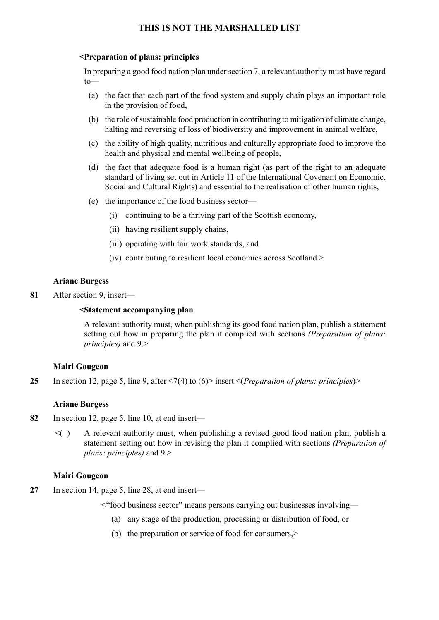#### **<Preparation of plans: principles**

In preparing a good food nation plan undersection 7, a relevant authority must have regard to—

- (a) the fact that each part of the food system and supply chain plays an important role in the provision of food,
- (b) the role of sustainable food production in contributing to mitigation of climate change, halting and reversing of loss of biodiversity and improvement in animal welfare,
- (c) the ability of high quality, nutritious and culturally appropriate food to improve the health and physical and mental wellbeing of people,
- (d) the fact that adequate food is a human right (as part of the right to an adequate standard of living set out in Article 11 of the International Covenant on Economic, Social and Cultural Rights) and essential to the realisation of other human rights,
- (e) the importance of the food business sector—
	- (i) continuing to be a thriving part of the Scottish economy,
	- (ii) having resilient supply chains,
	- (iii) operating with fair work standards, and
	- (iv) contributing to resilient local economies across Scotland.>

#### **Ariane Burgess**

**81** After section 9, insert—

#### **<Statement accompanying plan**

A relevant authority must, when publishing its good food nation plan, publish a statement setting out how in preparing the plan it complied with sections *(Preparation of plans: principles)* and 9.>

#### **Mairi Gougeon**

**25** In section 12, page 5, line 9, after <7(4) to (6)> insert <(*Preparation of plans: principles*)>

#### **Ariane Burgess**

- **82** In section 12, page 5, line 10, at end insert—
	- $\leq$   $\geq$  A relevant authority must, when publishing a revised good food nation plan, publish a statement setting out how in revising the plan it complied with sections *(Preparation of plans: principles)* and 9.>

#### **Mairi Gougeon**

- **27** In section 14, page 5, line 28, at end insert—
	- <"food business sector" means persons carrying out businesses involving—
		- (a) any stage of the production, processing or distribution of food, or
		- (b) the preparation or service of food for consumers,>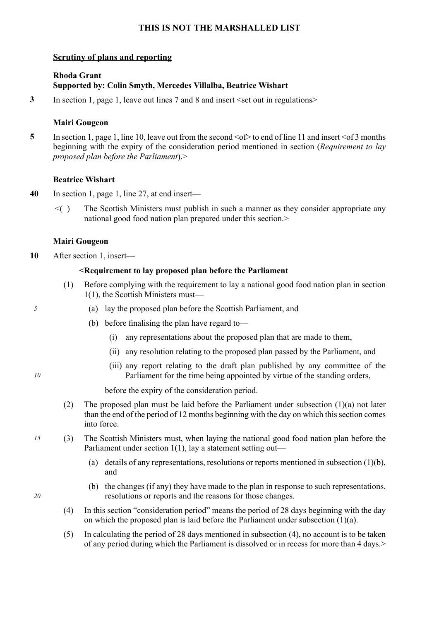## **Scrutiny of plans and reporting**

## **Rhoda Grant Supported by: Colin Smyth, Mercedes Villalba, Beatrice Wishart**

**3** In section 1, page 1, leave out lines 7 and 8 and insert  $\le$ set out in regulations>

#### **Mairi Gougeon**

**5** In section 1, page 1, line 10, leave out from the second  $\leq$  to end of line 11 and insert  $\leq$  of 3 months beginning with the expiry of the consideration period mentioned in section (*Requirement to lay proposed plan before the Parliament*).>

#### **Beatrice Wishart**

- **40** In section 1, page 1, line 27, at end insert—
	- $\leq$  The Scottish Ministers must publish in such a manner as they consider appropriate any national good food nation plan prepared under this section.

#### **Mairi Gougeon**

**10** After section 1, insert—

#### **<Requirement to lay proposed plan before the Parliament**

- (1) Before complying with the requirement to lay a national good food nation plan in section 1(1), the Scottish Ministers must—
- *5* (a) lay the proposed plan before the Scottish Parliament, and
	- (b) before finalising the plan have regard to—
		- (i) any representations about the proposed plan that are made to them,
		- (ii) any resolution relating to the proposed plan passed by the Parliament, and
		- (iii) any report relating to the draft plan published by any committee of the Parliament for the time being appointed by virtue of the standing orders,

before the expiry of the consideration period.

- (2) The proposed plan must be laid before the Parliament under subsection (1)(a) not later than the end of the period of 12 months beginning with the day on which this section comes into force.
- *15* (3) The Scottish Ministers must, when laying the national good food nation plan before the Parliament under section 1(1), lay a statement setting out—
	- (a) details of any representations, resolutions or reports mentioned in subsection (1)(b), and
	- (b) the changes (if any) they have made to the plan in response to such representations, resolutions or reports and the reasons for those changes.
	- (4) In this section "consideration period" means the period of 28 days beginning with the day on which the proposed plan is laid before the Parliament under subsection  $(1)(a)$ .
	- (5) In calculating the period of 28 days mentioned in subsection (4), no account is to be taken of any period during which the Parliament is dissolved or in recess for more than 4 days.>

*10*

*20*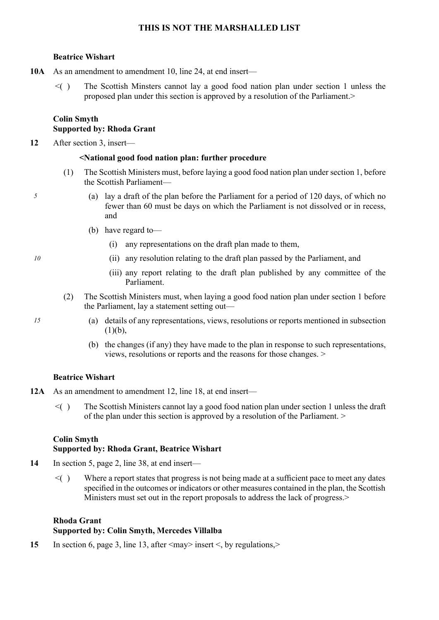## **Beatrice Wishart**

- **10A** As an amendment to amendment 10, line 24, at end insert—
	- $\leq$  The Scottish Minsters cannot lay a good food nation plan under section 1 unless the proposed plan under this section is approved by a resolution of the Parliament.>

## **Colin Smyth Supported by: Rhoda Grant**

**12** After section 3, insert—

## **<National good food nation plan: further procedure**

- (1) The Scottish Ministers must, before laying a good food nation plan under section 1, before the Scottish Parliament—
- *5* (a) lay a draft of the plan before the Parliament for a period of 120 days, of which no fewer than 60 must be days on which the Parliament is not dissolved or in recess, and
	- (b) have regard to—
		- (i) any representations on the draft plan made to them,
- *10* (ii) any resolution relating to the draft plan passed by the Parliament, and
- *1* (iii) any report relating to the draft plan published by any committee of the Parliament.
	- (2) The Scottish Ministers must, when laying a good food nation plan under section 1 before the Parliament, lay a statement setting out—
	- *15* (a) details of any representations, views, resolutions or reports mentioned in subsection  $(1)(b)$ ,
		- (b) the changes (if any) they have made to the plan in response to such representations, views, resolutions or reports and the reasons for those changes. >

## **Beatrice Wishart**

- **12A** As an amendment to amendment 12, line 18, at end insert—
	- $\leq$  The Scottish Ministers cannot lay a good food nation plan under section 1 unless the draft of the plan under this section is approved by a resolution of the Parliament. >

# **Colin Smyth**

## **Supported by: Rhoda Grant, Beatrice Wishart**

- **14** In section 5, page 2, line 38, at end insert—
	- $\leq$   $\geq$  Where a report states that progress is not being made at a sufficient pace to meet any dates specified in the outcomes or indicators or other measures contained in the plan, the Scottish Ministers must set out in the report proposals to address the lack of progress.>

## **Rhoda Grant Supported by: Colin Smyth, Mercedes Villalba**

**15** In section 6, page 3, line 13, after  $\langle \text{may} \rangle$  insert  $\langle \text{by regulations} \rangle$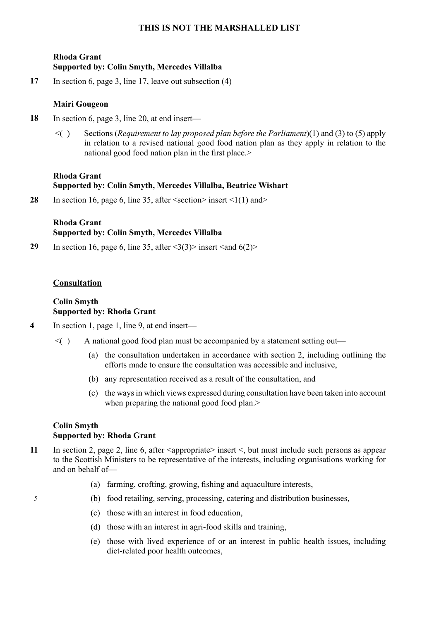## **Rhoda Grant Supported by: Colin Smyth, Mercedes Villalba**

**17** In section 6, page 3, line 17, leave out subsection (4)

## **Mairi Gougeon**

- **18** In section 6, page 3, line 20, at end insert—
	- <( ) Sections (*Requirement to lay proposed plan before the Parliament*)(1) and (3) to (5) apply in relation to a revised national good food nation plan as they apply in relation to the national good food nation plan in the first place.

## **Rhoda Grant Supported by: Colin Smyth, Mercedes Villalba, Beatrice Wishart**

28 In section 16, page 6, line 35, after  $\le$ section $\ge$  insert  $\le$ 1(1) and  $\ge$ 

## **Rhoda Grant Supported by: Colin Smyth, Mercedes Villalba**

**29** In section 16, page 6, line 35, after  $\langle 3(3) \rangle$  insert  $\langle 3nd \rangle$ 

## **Consultation**

## **Colin Smyth Supported by: Rhoda Grant**

- **4** In section 1, page 1, line 9, at end insert—
	- $\leq$   $( )$  A national good food plan must be accompanied by a statement setting out—
		- (a) the consultation undertaken in accordance with section 2, including outlining the efforts made to ensure the consultation was accessible and inclusive,
		- (b) any representation received as a result of the consultation, and
		- (c) the waysin which views expressed during consultation have been taken into account when preparing the national good food plan.>

## **Colin Smyth Supported by: Rhoda Grant**

- **11** In section 2, page 2, line 6, after <appropriate> insert <, but must include such persons as appear to the Scottish Ministers to be representative of the interests, including organisations working for and on behalf of—
	- (a) farming, crofting, growing, fishing and aquaculture interests,
	- *5* (b) food retailing, serving, processing, catering and distribution businesses,
		- (c) those with an interest in food education,
		- (d) those with an interest in agri-food skills and training,
		- (e) those with lived experience of or an interest in public health issues, including diet-related poor health outcomes,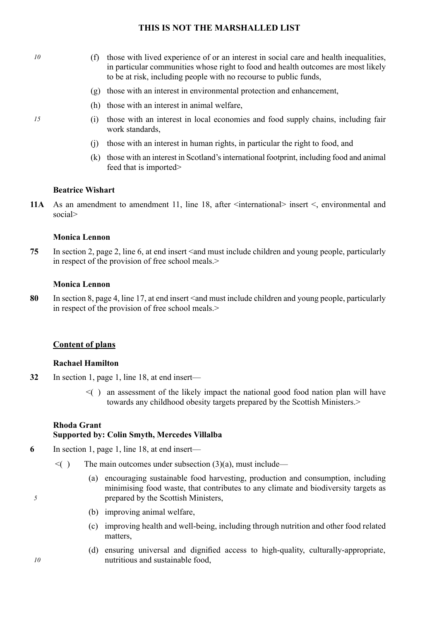- *10* (f) those with lived experience of or an interest in social care and health inequalities, in particular communities whose right to food and health outcomes are most likely to be at risk, including people with no recourse to public funds,
	- (g) those with an interest in environmental protection and enhancement,
	- (h) those with an interest in animal welfare,
- *15* (i) those with an interest in local economies and food supply chains, including fair work standards,
	- (j) those with an interest in human rights, in particular the right to food, and
	- (k) those with an interest in Scotland'sinternational footprint, including food and animal feed that is imported>

#### **Beatrice Wishart**

**11A** As an amendment to amendment 11, line 18, after  $\leq$  international insert  $\leq$ , environmental and social>

#### **Monica Lennon**

**75** In section 2, page 2, line 6, at end insert  $\leq$  and must include children and young people, particularly in respect of the provision of free school meals.

#### **Monica Lennon**

80 In section 8, page 4, line 17, at end insert  $\leq$  and must include children and young people, particularly in respect of the provision of free school meals.

#### **Content of plans**

#### **Rachael Hamilton**

- **32** In section 1, page 1, line 18, at end insert—
	- $\leq$  an assessment of the likely impact the national good food nation plan will have towards any childhood obesity targets prepared by the Scottish Ministers.>

#### **Rhoda Grant**

#### **Supported by: Colin Smyth, Mercedes Villalba**

- **6** In section 1, page 1, line 18, at end insert—
	- $\leq$  The main outcomes under subsection (3)(a), must include—
		- (a) encouraging sustainable food harvesting, production and consumption, including minimising food waste, that contributes to any climate and biodiversity targets as prepared by the Scottish Ministers,
		- (b) improving animal welfare,
		- (c) improving health and well-being, including through nutrition and other food related matters,
		- (d) ensuring universal and dignified access to high-quality, culturally-appropriate, nutritious and sustainable food,

*10*

*5*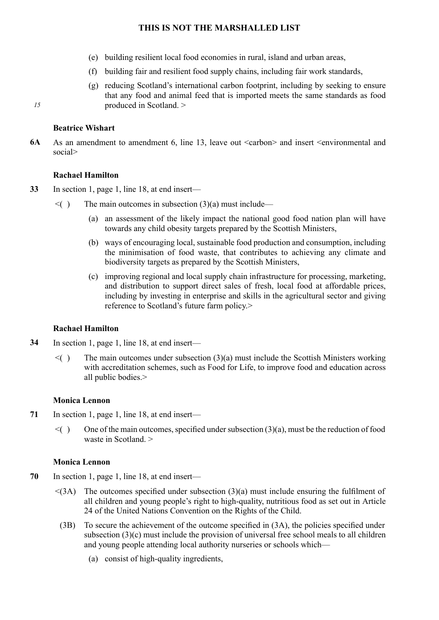- *1* (e) building resilient local food economies in rural, island and urban areas,
	- (f) building fair and resilient food supply chains, including fair work standards,
	- (g) reducing Scotland's international carbon footprint, including by seeking to ensure that any food and animal feed that is imported meets the same standards as food produced in Scotland. >

#### **Beatrice Wishart**

*15*

**6A** As an amendment to amendment 6, line 13, leave out  $\langle$ carbon $\rangle$  and insert  $\langle$ environmental and social>

#### **Rachael Hamilton**

- **33** In section 1, page 1, line 18, at end insert—
	- $\leq$  The main outcomes in subsection (3)(a) must include—
		- (a) an assessment of the likely impact the national good food nation plan will have towards any child obesity targets prepared by the Scottish Ministers,
		- (b) ways of encouraging local, sustainable food production and consumption, including the minimisation of food waste, that contributes to achieving any climate and biodiversity targets as prepared by the Scottish Ministers,
		- (c) improving regional and local supply chain infrastructure for processing, marketing, and distribution to support direct sales of fresh, local food at affordable prices, including by investing in enterprise and skills in the agricultural sector and giving reference to Scotland's future farm policy.>

## **Rachael Hamilton**

- **34** In section 1, page 1, line 18, at end insert—
	- $\leq$  The main outcomes under subsection (3)(a) must include the Scottish Ministers working with accreditation schemes, such as Food for Life, to improve food and education across all public bodies.>

## **Monica Lennon**

- **71** In section 1, page 1, line 18, at end insert—
	- $\leq$  ( ) One of the main outcomes, specified under subsection (3)(a), must be the reduction of food waste in Scotland. >

#### **Monica Lennon**

- **70** In section 1, page 1, line 18, at end insert—
	- $\leq$ (3A) The outcomes specified under subsection (3)(a) must include ensuring the fulfilment of all children and young people's right to high-quality, nutritious food as set out in Article 24 of the United Nations Convention on the Rights of the Child.
		- (3B) To secure the achievement of the outcome specified in (3A), the policies specified under subsection (3)(c) must include the provision of universal free school meals to all children and young people attending local authority nurseries or schools which—
			- (a) consist of high-quality ingredients,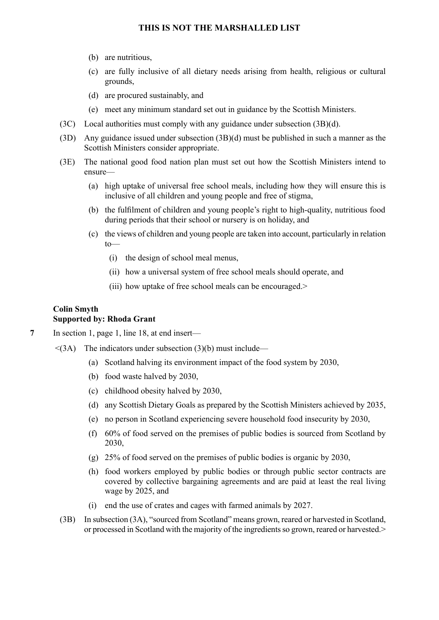- (b) are nutritious,
- (c) are fully inclusive of all dietary needs arising from health, religious or cultural grounds,
- (d) are procured sustainably, and
- (e) meet any minimum standard set out in guidance by the Scottish Ministers.
- (3C) Local authorities must comply with any guidance under subsection (3B)(d).
- (3D) Any guidance issued under subsection (3B)(d) must be published in such a manner as the Scottish Ministers consider appropriate.
- (3E) The national good food nation plan must set out how the Scottish Ministers intend to ensure—
	- (a) high uptake of universal free school meals, including how they will ensure this is inclusive of all children and young people and free of stigma,
	- (b) the fulfilment of children and young people's right to high-quality, nutritious food during periods that their school or nursery is on holiday, and
	- (c) the views of children and young people are taken into account, particularly in relation to—
		- (i) the design of school meal menus,
		- (ii) how a universal system of free school meals should operate, and
		- (iii) how uptake of free school meals can be encouraged.>

#### **Colin Smyth Supported by: Rhoda Grant**

- **7** In section 1, page 1, line 18, at end insert—
	- $\leq$ (3A) The indicators under subsection (3)(b) must include—
		- (a) Scotland halving its environment impact of the food system by 2030,
		- (b) food waste halved by 2030,
		- (c) childhood obesity halved by 2030,
		- (d) any Scottish Dietary Goals as prepared by the Scottish Ministers achieved by 2035,
		- (e) no person in Scotland experiencing severe household food insecurity by 2030,
		- (f) 60% of food served on the premises of public bodies is sourced from Scotland by 2030,
		- (g) 25% of food served on the premises of public bodies is organic by 2030,
		- (h) food workers employed by public bodies or through public sector contracts are covered by collective bargaining agreements and are paid at least the real living wage by 2025, and
		- (i) end the use of crates and cages with farmed animals by 2027.
		- (3B) In subsection (3A), "sourced from Scotland" means grown, reared or harvested in Scotland, or processed in Scotland with the majority of the ingredientsso grown, reared or harvested.>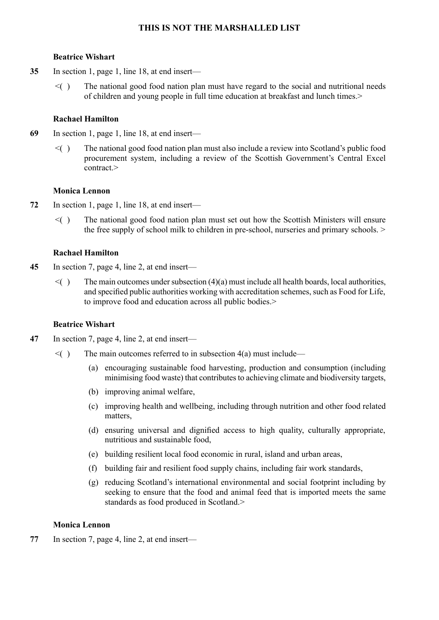## **Beatrice Wishart**

- **35** In section 1, page 1, line 18, at end insert—
	- $\leq$  The national good food nation plan must have regard to the social and nutritional needs of children and young people in full time education at breakfast and lunch times.>

## **Rachael Hamilton**

- **69** In section 1, page 1, line 18, at end insert—
	- $\leq$  The national good food nation plan must also include a review into Scotland's public food procurement system, including a review of the Scottish Government's Central Excel contract >

## **Monica Lennon**

- **72** In section 1, page 1, line 18, at end insert—
	- $\leq$  The national good food nation plan must set out how the Scottish Ministers will ensure the free supply of school milk to children in pre-school, nurseries and primary schools. >

## **Rachael Hamilton**

- **45** In section 7, page 4, line 2, at end insert—
	- $\leq$  ) The main outcomes under subsection (4)(a) must include all health boards, local authorities, and specified public authorities working with accreditation schemes, such as Food for Life, to improve food and education across all public bodies.

## **Beatrice Wishart**

- **47** In section 7, page 4, line 2, at end insert—
	- $\leq$  The main outcomes referred to in subsection 4(a) must include—
		- (a) encouraging sustainable food harvesting, production and consumption (including minimising food waste) that contributes to achieving climate and biodiversity targets,
		- (b) improving animal welfare,
		- (c) improving health and wellbeing, including through nutrition and other food related matters,
		- (d) ensuring universal and dignified access to high quality, culturally appropriate, nutritious and sustainable food,
		- (e) building resilient local food economic in rural, island and urban areas,
		- (f) building fair and resilient food supply chains, including fair work standards,
		- (g) reducing Scotland's international environmental and social footprint including by seeking to ensure that the food and animal feed that is imported meets the same standards as food produced in Scotland.>

## **Monica Lennon**

**77** In section 7, page 4, line 2, at end insert—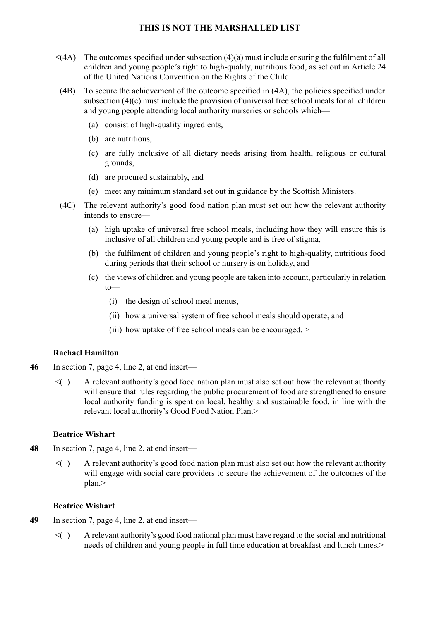- $\leq$ (4A) The outcomes specified under subsection (4)(a) must include ensuring the fulfilment of all children and young people's right to high-quality, nutritious food, as set out in Article 24 of the United Nations Convention on the Rights of the Child.
- (4B) To secure the achievement of the outcome specified in (4A), the policies specified under subsection (4)(c) must include the provision of universal free school meals for all children and young people attending local authority nurseries or schools which—
	- (a) consist of high-quality ingredients,
	- (b) are nutritious,
	- (c) are fully inclusive of all dietary needs arising from health, religious or cultural grounds,
	- (d) are procured sustainably, and
	- (e) meet any minimum standard set out in guidance by the Scottish Ministers.
- (4C) The relevant authority's good food nation plan must set out how the relevant authority intends to ensure—
	- (a) high uptake of universal free school meals, including how they will ensure this is inclusive of all children and young people and is free of stigma,
	- (b) the fulfilment of children and young people's right to high-quality, nutritious food during periods that their school or nursery is on holiday, and
	- (c) the views of children and young people are taken into account, particularly in relation to—
		- (i) the design of school meal menus,
		- (ii) how a universal system of free school meals should operate, and
		- (iii) how uptake of free school meals can be encouraged. >

## **Rachael Hamilton**

- **46** In section 7, page 4, line 2, at end insert—
	- $\leq$   $($   $)$  A relevant authority's good food nation plan must also set out how the relevant authority will ensure that rules regarding the public procurement of food are strengthened to ensure local authority funding is spent on local, healthy and sustainable food, in line with the relevant local authority's Good Food Nation Plan.>

#### **Beatrice Wishart**

- **48** In section 7, page 4, line 2, at end insert—
	- $\leq$   $($   $)$  A relevant authority's good food nation plan must also set out how the relevant authority will engage with social care providers to secure the achievement of the outcomes of the plan.>

#### **Beatrice Wishart**

- **49** In section 7, page 4, line 2, at end insert—
	- $\leq$   $\geq$  A relevant authority's good food national plan must have regard to the social and nutritional needs of children and young people in full time education at breakfast and lunch times.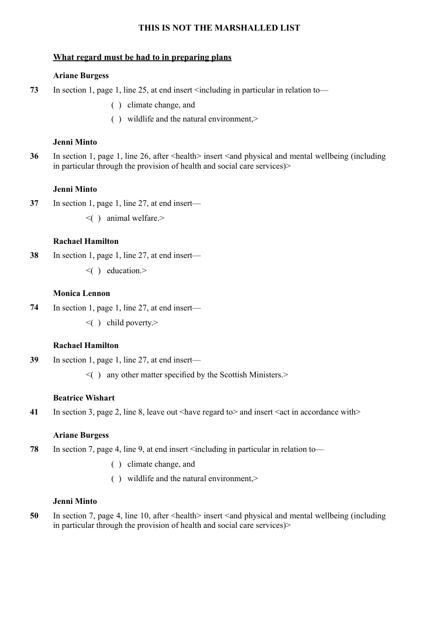## **What regard must be had to in preparing plans**

#### **Ariane Burgess**

- **73** In section 1, page 1, line 25, at end insert <including in particular in relation to—
	- ( ) climate change, and
	- ( ) wildlife and the natural environment,>

## **Jenni Minto**

**36** In section 1, page 1, line 26, after <health> insert <and physical and mental wellbeing (including in particular through the provision of health and social care services)>

#### **Jenni Minto**

- **37** In section 1, page 1, line 27, at end insert—
	- $\leq$  ( ) animal welfare.

## **Rachael Hamilton**

- **38** In section 1, page 1, line 27, at end insert—
	- $\leq$  ) education.>

#### **Monica Lennon**

- **74** In section 1, page 1, line 27, at end insert—
	- $\leq$  ( ) child poverty.

#### **Rachael Hamilton**

- **39** In section 1, page 1, line 27, at end insert—
	- $\leq$  ( ) any other matter specified by the Scottish Ministers.

#### **Beatrice Wishart**

**41** In section 3, page 2, line 8, leave out <have regard to > and insert <act in accordance with >

#### **Ariane Burgess**

- **78** In section 7, page 4, line 9, at end insert <including in particular in relation to—
	- ( ) climate change, and
	- ( ) wildlife and the natural environment,>

#### **Jenni Minto**

**50** In section 7, page 4, line 10, after  $\leq$  health insert  $\leq$  and physical and mental wellbeing (including in particular through the provision of health and social care services)>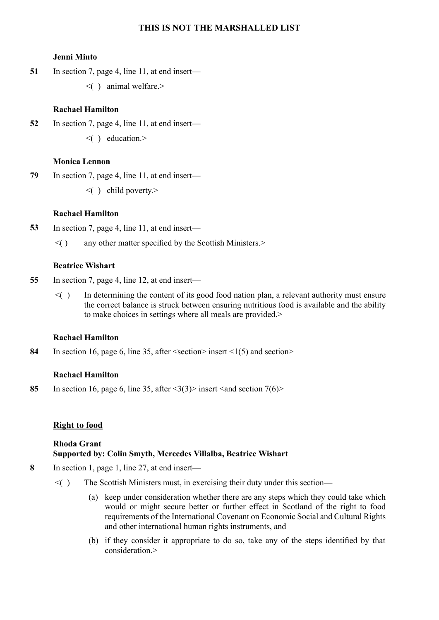#### **Jenni Minto**

**51** In section 7, page 4, line 11, at end insert—

 $\leq$  ( ) animal welfare.

## **Rachael Hamilton**

**52** In section 7, page 4, line 11, at end insert—  $\leq$  ( ) education.>

## **Monica Lennon**

- **79** In section 7, page 4, line 11, at end insert—
	- $\leq$  ( ) child poverty.

## **Rachael Hamilton**

- **53** In section 7, page 4, line 11, at end insert—
	- $\leq$  ( ) any other matter specified by the Scottish Ministers. $>$

## **Beatrice Wishart**

- **55** In section 7, page 4, line 12, at end insert—
	- $\leq$  ) In determining the content of its good food nation plan, a relevant authority must ensure the correct balance is struck between ensuring nutritious food is available and the ability to make choices in settings where all meals are provided.

## **Rachael Hamilton**

84 In section 16, page 6, line 35, after  $\le$  section  $>$  insert  $\le$  1(5) and section  $>$ 

## **Rachael Hamilton**

85 In section 16, page 6, line 35, after  $\langle 3(3) \rangle$  insert  $\langle 3 \rangle$  section 7(6)

## **Right to food**

## **Rhoda Grant Supported by: Colin Smyth, Mercedes Villalba, Beatrice Wishart**

- **8** In section 1, page 1, line 27, at end insert—
	- $\leq$  The Scottish Ministers must, in exercising their duty under this section—
		- (a) keep under consideration whether there are any steps which they could take which would or might secure better or further effect in Scotland of the right to food requirements of the International Covenant on Economic Social and Cultural Rights and other international human rights instruments, and
		- (b) if they consider it appropriate to do so, take any of the steps identified by that consideration >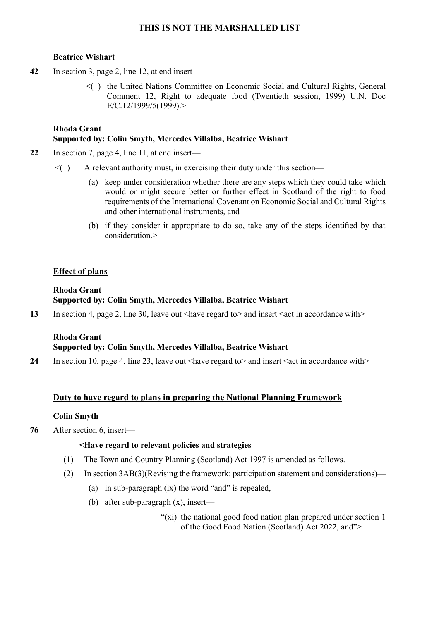#### **Beatrice Wishart**

- **42** In section 3, page 2, line 12, at end insert—
	- $\leq$  the United Nations Committee on Economic Social and Cultural Rights, General Comment 12, Right to adequate food (Twentieth session, 1999) U.N. Doc E/C.12/1999/5(1999).>

## **Rhoda Grant Supported by: Colin Smyth, Mercedes Villalba, Beatrice Wishart**

- **22** In section 7, page 4, line 11, at end insert—
	- $\leq$  A relevant authority must, in exercising their duty under this section—
		- (a) keep under consideration whether there are any steps which they could take which would or might secure better or further effect in Scotland of the right to food requirements of the International Covenant on Economic Social and Cultural Rights and other international instruments, and
		- (b) if they consider it appropriate to do so, take any of the steps identified by that  $\cos$ ideration $>$

## **Effect of plans**

#### **Rhoda Grant Supported by: Colin Smyth, Mercedes Villalba, Beatrice Wishart**

**13** In section 4, page 2, line 30, leave out <have regard to and insert <act in accordance with

## **Rhoda Grant Supported by: Colin Smyth, Mercedes Villalba, Beatrice Wishart**

**24** In section 10, page 4, line 23, leave out  $\langle$  have regard to  $>$  and insert  $\langle$  act in accordance with  $>$ 

## **Duty to have regard to plans in preparing the National Planning Framework**

## **Colin Smyth**

**76** After section 6, insert—

## **<Have regard to relevant policies and strategies**

- (1) The Town and Country Planning (Scotland) Act 1997 is amended as follows.
- (2) In section 3AB(3)(Revising the framework: participation statement and considerations)—
	- (a) in sub-paragraph (ix) the word "and" is repealed,
	- (b) after sub-paragraph (x), insert—
		- "(xi) the national good food nation plan prepared under section 1 of the Good Food Nation (Scotland) Act 2022, and">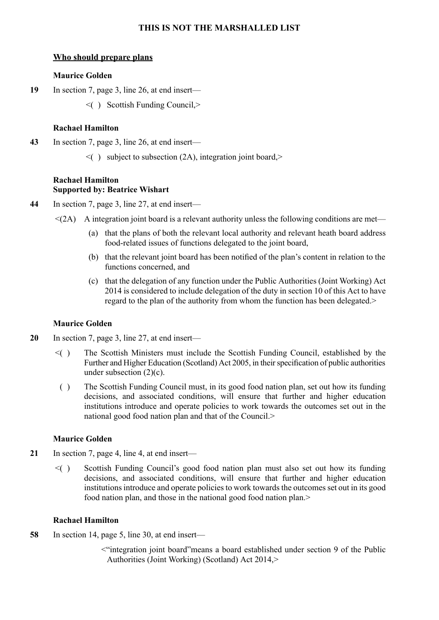## **Who should prepare plans**

#### **Maurice Golden**

**19** In section 7, page 3, line 26, at end insert—

 $\leq$  ( ) Scottish Funding Council, $\geq$ 

#### **Rachael Hamilton**

- **43** In section 7, page 3, line 26, at end insert—
	- $\leq$  ( ) subject to subsection (2A), integration joint board,

## **Rachael Hamilton Supported by: Beatrice Wishart**

- **44** In section 7, page 3, line 27, at end insert—
	- $\leq$ (2A) A integration joint board is a relevant authority unless the following conditions are met—
		- (a) that the plans of both the relevant local authority and relevant heath board address food-related issues of functions delegated to the joint board,
		- (b) that the relevant joint board has been notified of the plan's content in relation to the functions concerned, and
		- (c) that the delegation of any function under the Public Authorities (Joint Working) Act 2014 is considered to include delegation of the duty in section 10 of this Act to have regard to the plan of the authority from whom the function has been delegated.>

## **Maurice Golden**

- **20** In section 7, page 3, line 27, at end insert—
	- $\leq$  The Scottish Ministers must include the Scottish Funding Council, established by the Further and Higher Education (Scotland) Act 2005, in their specification of public authorities under subsection (2)(c).
		- ( ) The Scottish Funding Council must, in its good food nation plan, set out how its funding decisions, and associated conditions, will ensure that further and higher education institutions introduce and operate policies to work towards the outcomes set out in the national good food nation plan and that of the Council.>

## **Maurice Golden**

- **21** In section 7, page 4, line 4, at end insert—
	- $\leq$  Scottish Funding Council's good food nation plan must also set out how its funding decisions, and associated conditions, will ensure that further and higher education institutions introduce and operate policies to work towards the outcomes set out in its good food nation plan, and those in the national good food nation plan.>

#### **Rachael Hamilton**

- **58** In section 14, page 5, line 30, at end insert—
	- <"integration joint board"means a board established under section 9 of the Public Authorities (Joint Working) (Scotland) Act 2014,>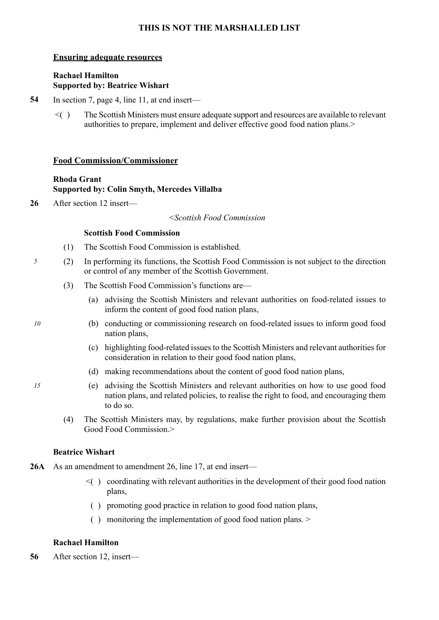## **Ensuring adequate resources**

## **Rachael Hamilton Supported by: Beatrice Wishart**

- **54** In section 7, page 4, line 11, at end insert—
	- $\leq$  The Scottish Ministers must ensure adequate support and resources are available to relevant authorities to prepare, implement and deliver effective good food nation plans.>

#### **Food Commission/Commissioner**

## **Rhoda Grant Supported by: Colin Smyth, Mercedes Villalba**

**26** After section 12 insert—

#### *<Scottish Food Commission*

#### **Scottish Food Commission**

- (1) The Scottish Food Commission is established.
- *5* (2) In performing its functions, the Scottish Food Commission is not subject to the direction or control of any member of the Scottish Government.
	- (3) The Scottish Food Commission's functions are—
		- (a) advising the Scottish Ministers and relevant authorities on food-related issues to inform the content of good food nation plans,
- *10* (b) conducting or commissioning research on food-related issues to inform good food nation plans,
	- (c) highlighting food-related issues to the Scottish Ministers and relevant authorities for consideration in relation to their good food nation plans,
	- (d) making recommendations about the content of good food nation plans,
- *15* (e) advising the Scottish Ministers and relevant authorities on how to use good food nation plans, and related policies, to realise the right to food, and encouraging them to do so.
	- (4) The Scottish Ministers may, by regulations, make further provision about the Scottish Good Food Commission.>

## **Beatrice Wishart**

- **26A** As an amendment to amendment 26, line 17, at end insert—
	- $\leq$   $\leq$   $\leq$   $\leq$   $\leq$   $\leq$   $\leq$   $\leq$   $\leq$   $\leq$   $\leq$   $\leq$   $\leq$   $\leq$   $\leq$   $\leq$   $\leq$   $\leq$   $\leq$   $\leq$   $\leq$   $\leq$   $\leq$   $\leq$   $\leq$   $\leq$   $\leq$   $\leq$   $\leq$   $\leq$   $\leq$   $\leq$   $\leq$   $\leq$   $\leq$   $\leq$   $\leq$ plans,
		- ( ) promoting good practice in relation to good food nation plans,
		- ( ) monitoring the implementation of good food nation plans. >

## **Rachael Hamilton**

**56** After section 12, insert—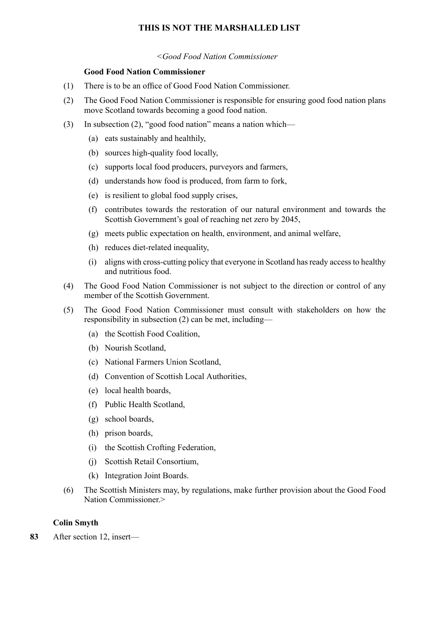*<Good Food Nation Commissioner* 

#### **Good Food Nation Commissioner**

- (1) There is to be an office of Good Food Nation Commissioner.
- (2) The Good Food Nation Commissioner is responsible for ensuring good food nation plans move Scotland towards becoming a good food nation.
- (3) In subsection (2), "good food nation" means a nation which—
	- (a) eats sustainably and healthily,
	- (b) sources high-quality food locally,
	- (c) supports local food producers, purveyors and farmers,
	- (d) understands how food is produced, from farm to fork,
	- (e) is resilient to global food supply crises,
	- (f) contributes towards the restoration of our natural environment and towards the Scottish Government's goal of reaching net zero by 2045,
	- (g) meets public expectation on health, environment, and animal welfare,
	- (h) reduces diet-related inequality,
	- (i) aligns with cross-cutting policy that everyone in Scotland hasready accessto healthy and nutritious food.
- (4) The Good Food Nation Commissioner is not subject to the direction or control of any member of the Scottish Government.
- (5) The Good Food Nation Commissioner must consult with stakeholders on how the responsibility in subsection (2) can be met, including—
	- (a) the Scottish Food Coalition,
	- (b) Nourish Scotland,
	- (c) National Farmers Union Scotland,
	- (d) Convention of Scottish Local Authorities,
	- (e) local health boards,
	- (f) Public Health Scotland,
	- (g) school boards,
	- (h) prison boards,
	- (i) the Scottish Crofting Federation,
	- (j) Scottish Retail Consortium,
	- (k) Integration Joint Boards.
- (6) The Scottish Ministers may, by regulations, make further provision about the Good Food Nation Commissioner.>

## **Colin Smyth**

**83** After section 12, insert—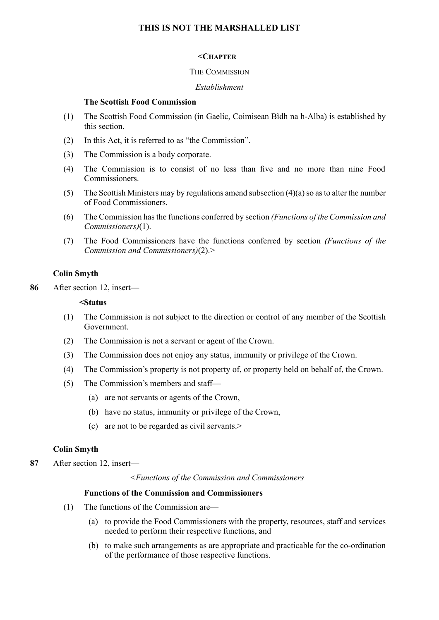#### **<CHAPTER**

#### THE COMMISSION

#### *Establishment*

#### **The Scottish Food Commission**

- (1) The Scottish Food Commission (in Gaelic, Coimisean Bìdh na h-Alba) is established by this section.
- (2) In this Act, it is referred to as "the Commission".
- (3) The Commission is a body corporate.
- (4) The Commission is to consist of no less than five and no more than nine Food **Commissioners**
- (5) The Scottish Ministers may by regulations amend subsection  $(4)(a)$  so as to alter the number of Food Commissioners.
- (6) The Commission hasthe functions conferred by section *(Functions of the Commission and Commissioners)*(1).
- (7) The Food Commissioners have the functions conferred by section *(Functions of the Commission and Commissioners)*(2).>

#### **Colin Smyth**

**86** After section 12, insert—

#### **<Status**

- (1) The Commission is not subject to the direction or control of any member of the Scottish Government.
- (2) The Commission is not a servant or agent of the Crown.
- (3) The Commission does not enjoy any status, immunity or privilege of the Crown.
- (4) The Commission's property is not property of, or property held on behalf of, the Crown.
- (5) The Commission's members and staff—
	- (a) are not servants or agents of the Crown,
	- (b) have no status, immunity or privilege of the Crown,
	- (c) are not to be regarded as civil servants.>

#### **Colin Smyth**

**87** After section 12, insert—

*<Functions of the Commission and Commissioners* 

#### **Functions of the Commission and Commissioners**

- (1) The functions of the Commission are—
	- (a) to provide the Food Commissioners with the property, resources, staff and services needed to perform their respective functions, and
	- (b) to make such arrangements as are appropriate and practicable for the co-ordination of the performance of those respective functions.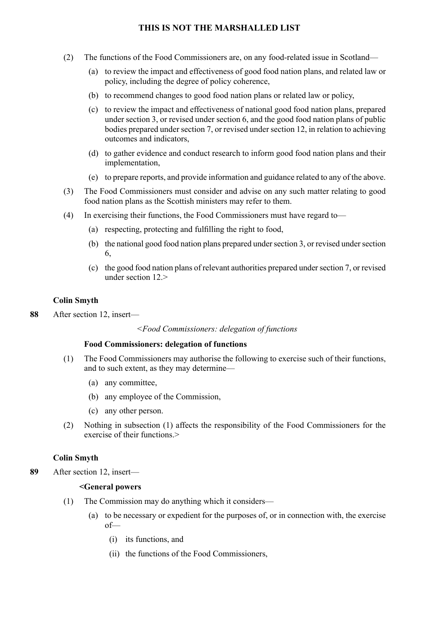- (2) The functions of the Food Commissioners are, on any food-related issue in Scotland—
	- (a) to review the impact and effectiveness of good food nation plans, and related law or policy, including the degree of policy coherence,
	- (b) to recommend changes to good food nation plans or related law or policy,
	- (c) to review the impact and effectiveness of national good food nation plans, prepared under section 3, or revised under section 6, and the good food nation plans of public bodies prepared under section 7, or revised under section 12, in relation to achieving outcomes and indicators,
	- (d) to gather evidence and conduct research to inform good food nation plans and their implementation,
	- (e) to prepare reports, and provide information and guidance related to any of the above.
- (3) The Food Commissioners must consider and advise on any such matter relating to good food nation plans as the Scottish ministers may refer to them.
- (4) In exercising their functions, the Food Commissioners must have regard to—
	- (a) respecting, protecting and fulfilling the right to food,
	- (b) the national good food nation plans prepared under section 3, or revised under section 6,
	- (c) the good food nation plans of relevant authorities prepared undersection 7, or revised under section  $12>$

#### **Colin Smyth**

**88** After section 12, insert—

#### *<Food Commissioners: delegation of functions*

#### **Food Commissioners: delegation of functions**

- (1) The Food Commissioners may authorise the following to exercise such of their functions, and to such extent, as they may determine—
	- (a) any committee,
	- (b) any employee of the Commission,
	- (c) any other person.
- (2) Nothing in subsection (1) affects the responsibility of the Food Commissioners for the exercise of their functions.

#### **Colin Smyth**

**89** After section 12, insert—

## **<General powers**

- (1) The Commission may do anything which it considers—
	- (a) to be necessary or expedient for the purposes of, or in connection with, the exercise of—
		- (i) its functions, and
		- (ii) the functions of the Food Commissioners,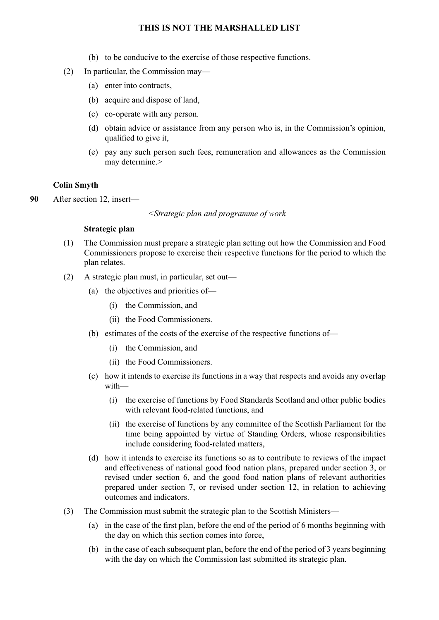- (b) to be conducive to the exercise of those respective functions.
- (2) In particular, the Commission may—
	- (a) enter into contracts,
	- (b) acquire and dispose of land,
	- (c) co-operate with any person.
	- (d) obtain advice or assistance from any person who is, in the Commission's opinion, qualified to give it,
	- (e) pay any such person such fees, remuneration and allowances as the Commission may determine.>

#### **Colin Smyth**

**90** After section 12, insert—

*<Strategic plan and programme of work* 

#### **Strategic plan**

- (1) The Commission must prepare a strategic plan setting out how the Commission and Food Commissioners propose to exercise their respective functions for the period to which the plan relates.
- (2) A strategic plan must, in particular, set out—
	- (a) the objectives and priorities of—
		- (i) the Commission, and
		- (ii) the Food Commissioners.
	- (b) estimates of the costs of the exercise of the respective functions of—
		- (i) the Commission, and
		- (ii) the Food Commissioners.
	- (c) how it intends to exercise its functions in a way that respects and avoids any overlap with—
		- (i) the exercise of functions by Food Standards Scotland and other public bodies with relevant food-related functions, and
		- (ii) the exercise of functions by any committee of the Scottish Parliament for the time being appointed by virtue of Standing Orders, whose responsibilities include considering food-related matters,
	- (d) how it intends to exercise its functions so as to contribute to reviews of the impact and effectiveness of national good food nation plans, prepared under section 3, or revised under section 6, and the good food nation plans of relevant authorities prepared under section 7, or revised under section 12, in relation to achieving outcomes and indicators.
- (3) The Commission must submit the strategic plan to the Scottish Ministers—
	- (a) in the case of the first plan, before the end of the period of 6 months beginning with the day on which this section comes into force,
	- (b) in the case of each subsequent plan, before the end of the period of 3 years beginning with the day on which the Commission last submitted its strategic plan.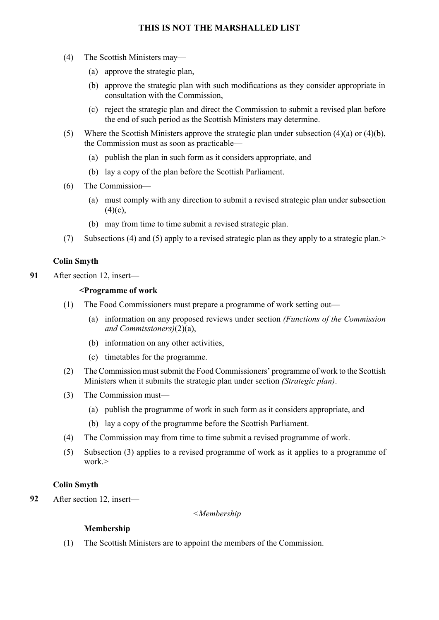- (4) The Scottish Ministers may—
	- (a) approve the strategic plan,
	- (b) approve the strategic plan with such modifications as they consider appropriate in consultation with the Commission,
	- (c) reject the strategic plan and direct the Commission to submit a revised plan before the end of such period as the Scottish Ministers may determine.
- (5) Where the Scottish Ministers approve the strategic plan under subsection (4)(a) or (4)(b), the Commission must as soon as practicable—
	- (a) publish the plan in such form as it considers appropriate, and
	- (b) lay a copy of the plan before the Scottish Parliament.
- (6) The Commission—
	- (a) must comply with any direction to submit a revised strategic plan under subsection  $(4)(c)$ ,
	- (b) may from time to time submit a revised strategic plan.
- (7) Subsections (4) and (5) apply to a revised strategic plan as they apply to a strategic plan.>

## **Colin Smyth**

**91** After section 12, insert—

#### **<Programme of work**

- (1) The Food Commissioners must prepare a programme of work setting out—
	- (a) information on any proposed reviews under section *(Functions of the Commission and Commissioners)*(2)(a),
	- (b) information on any other activities,
	- (c) timetables for the programme.
- (2) The Commission mustsubmit the Food Commissioners' programme of work to the Scottish Ministers when it submits the strategic plan under section *(Strategic plan)*.
- (3) The Commission must—
	- (a) publish the programme of work in such form as it considers appropriate, and
	- (b) lay a copy of the programme before the Scottish Parliament.
- (4) The Commission may from time to time submit a revised programme of work.
- (5) Subsection (3) applies to a revised programme of work as it applies to a programme of  $work$

## **Colin Smyth**

**92** After section 12, insert—

#### *<Membership*

## **Membership**

(1) The Scottish Ministers are to appoint the members of the Commission.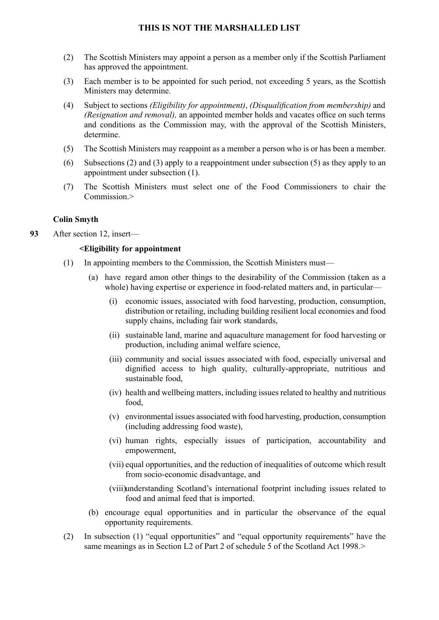- (2) The Scottish Ministers may appoint a person as a member only if the Scottish Parliament has approved the appointment.
- (3) Each member is to be appointed for such period, not exceeding 5 years, as the Scottish Ministers may determine.
- (4) Subject to sections *(Eligibility for appointment)*, *(Disqualification from membership)* and *(Resignation and removal),* an appointed member holds and vacates office on such terms and conditions as the Commission may, with the approval of the Scottish Ministers, determine.
- (5) The Scottish Ministers may reappoint as a member a person who is or has been a member.
- (6) Subsections (2) and (3) apply to a reappointment under subsection (5) as they apply to an appointment under subsection (1).
- (7) The Scottish Ministers must select one of the Food Commissioners to chair the Commission.>

## **Colin Smyth**

**93** After section 12, insert—

## **<Eligibility for appointment**

- (1) In appointing members to the Commission, the Scottish Ministers must—
	- (a) have regard amon other things to the desirability of the Commission (taken as a whole) having expertise or experience in food-related matters and, in particular—
		- (i) economic issues, associated with food harvesting, production, consumption, distribution or retailing, including building resilient local economies and food supply chains, including fair work standards,
		- (ii) sustainable land, marine and aquaculture management for food harvesting or production, including animal welfare science,
		- (iii) community and social issues associated with food, especially universal and dignified access to high quality, culturally-appropriate, nutritious and sustainable food,
		- (iv) health and wellbeing matters, including issues related to healthy and nutritious food,
		- (v) environmental issues associated with food harvesting, production, consumption (including addressing food waste),
		- (vi) human rights, especially issues of participation, accountability and empowerment,
		- (vii) equal opportunities, and the reduction of inequalities of outcome which result from socio-economic disadvantage, and
		- (viii) understanding Scotland's international footprint including issues related to food and animal feed that is imported.
	- (b) encourage equal opportunities and in particular the observance of the equal opportunity requirements.
- (2) In subsection (1) "equal opportunities" and "equal opportunity requirements" have the same meanings as in Section L2 of Part 2 of schedule 5 of the Scotland Act 1998.>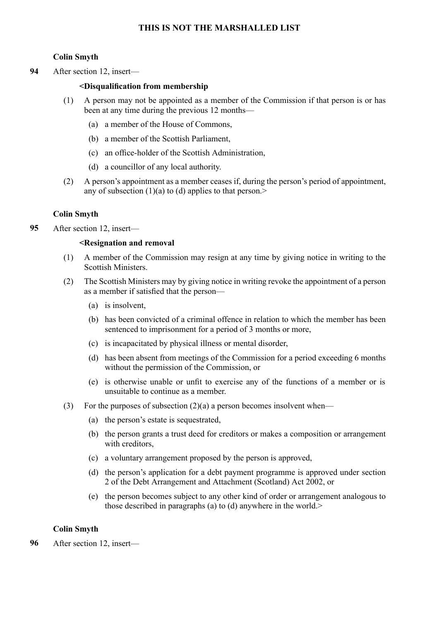## **Colin Smyth**

**94** After section 12, insert—

#### **<Disqualification from membership**

- (1) A person may not be appointed as a member of the Commission if that person is or has been at any time during the previous 12 months—
	- (a) a member of the House of Commons,
	- (b) a member of the Scottish Parliament,
	- (c) an office-holder of the Scottish Administration,
	- (d) a councillor of any local authority.
- (2) A person's appointment as a member ceases if, during the person's period of appointment, any of subsection  $(1)(a)$  to  $(d)$  applies to that person.>

## **Colin Smyth**

**95** After section 12, insert—

#### **<Resignation and removal**

- (1) A member of the Commission may resign at any time by giving notice in writing to the Scottish Ministers.
- (2) The Scottish Ministers may by giving notice in writing revoke the appointment of a person as a member if satisfied that the person—
	- (a) is insolvent,
	- (b) has been convicted of a criminal offence in relation to which the member has been sentenced to imprisonment for a period of 3 months or more,
	- (c) is incapacitated by physical illness or mental disorder,
	- (d) has been absent from meetings of the Commission for a period exceeding 6 months without the permission of the Commission, or
	- (e) is otherwise unable or unfit to exercise any of the functions of a member or is unsuitable to continue as a member.
- (3) For the purposes of subsection  $(2)(a)$  a person becomes insolvent when—
	- (a) the person's estate is sequestrated,
	- (b) the person grants a trust deed for creditors or makes a composition or arrangement with creditors,
	- (c) a voluntary arrangement proposed by the person is approved,
	- (d) the person's application for a debt payment programme is approved under section 2 of the Debt Arrangement and Attachment (Scotland) Act 2002, or
	- (e) the person becomes subject to any other kind of order or arrangement analogous to those described in paragraphs (a) to (d) anywhere in the world.>

## **Colin Smyth**

**96** After section 12, insert—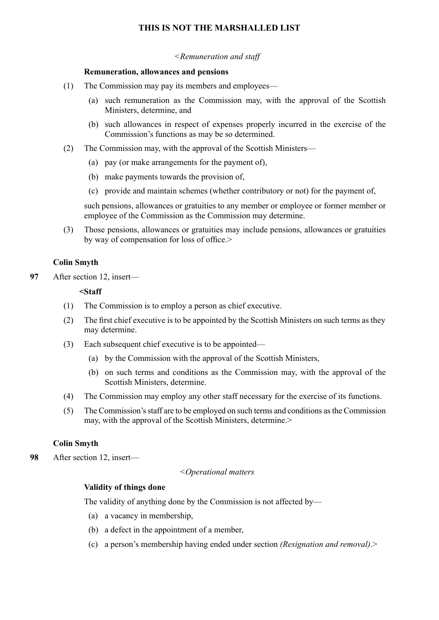#### *<Remuneration and staff*

#### **Remuneration, allowances and pensions**

- (1) The Commission may pay its members and employees—
	- (a) such remuneration as the Commission may, with the approval of the Scottish Ministers, determine, and
	- (b) such allowances in respect of expenses properly incurred in the exercise of the Commission's functions as may be so determined.
- (2) The Commission may, with the approval of the Scottish Ministers—
	- (a) pay (or make arrangements for the payment of),
	- (b) make payments towards the provision of,
	- (c) provide and maintain schemes (whether contributory or not) for the payment of,

such pensions, allowances or gratuities to any member or employee or former member or employee of the Commission as the Commission may determine.

(3) Those pensions, allowances or gratuities may include pensions, allowances or gratuities by way of compensation for loss of office.>

## **Colin Smyth**

**97** After section 12, insert—

#### **<Staff**

- (1) The Commission is to employ a person as chief executive.
- (2) The first chief executive is to be appointed by the Scottish Ministers on such terms as they may determine.
- (3) Each subsequent chief executive is to be appointed—
	- (a) by the Commission with the approval of the Scottish Ministers,
	- (b) on such terms and conditions as the Commission may, with the approval of the Scottish Ministers, determine.
- (4) The Commission may employ any other staff necessary for the exercise of its functions.
- (5) The Commission'sstaff are to be employed on such terms and conditions asthe Commission may, with the approval of the Scottish Ministers, determine.>

## **Colin Smyth**

**98** After section 12, insert—

*<Operational matters* 

## **Validity of things done**

The validity of anything done by the Commission is not affected by—

- (a) a vacancy in membership,
- (b) a defect in the appointment of a member,
- (c) a person's membership having ended under section *(Resignation and removal)*.>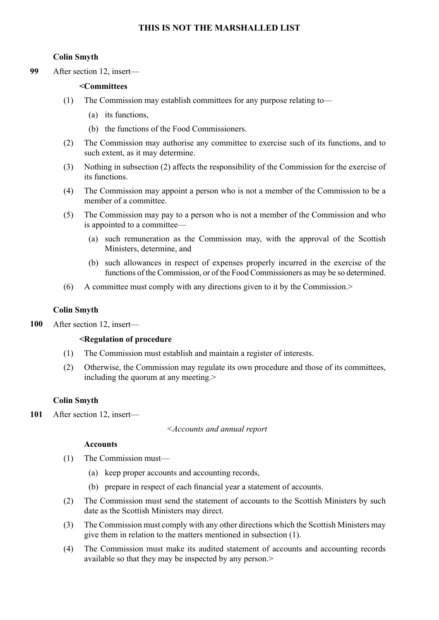#### **Colin Smyth**

**99** After section 12, insert—

#### **<Committees**

- (1) The Commission may establish committees for any purpose relating to—
	- (a) its functions,
	- (b) the functions of the Food Commissioners.
- (2) The Commission may authorise any committee to exercise such of its functions, and to such extent, as it may determine.
- (3) Nothing in subsection (2) affects the responsibility of the Commission for the exercise of its functions.
- (4) The Commission may appoint a person who is not a member of the Commission to be a member of a committee.
- (5) The Commission may pay to a person who is not a member of the Commission and who is appointed to a committee—
	- (a) such remuneration as the Commission may, with the approval of the Scottish Ministers, determine, and
	- (b) such allowances in respect of expenses properly incurred in the exercise of the functions of the Commission, or of the Food Commissioners as may be so determined.
- (6) A committee must comply with any directions given to it by the Commission.>

#### **Colin Smyth**

**100** After section 12, insert—

#### **<Regulation of procedure**

- (1) The Commission must establish and maintain a register of interests.
- (2) Otherwise, the Commission may regulate its own procedure and those of its committees, including the quorum at any meeting.>

#### **Colin Smyth**

**101** After section 12, insert—

*<Accounts and annual report* 

#### **Accounts**

- (1) The Commission must—
	- (a) keep proper accounts and accounting records,
	- (b) prepare in respect of each financial year a statement of accounts.
- (2) The Commission must send the statement of accounts to the Scottish Ministers by such date as the Scottish Ministers may direct.
- (3) The Commission must comply with any other directions which the Scottish Ministers may give them in relation to the matters mentioned in subsection (1).
- (4) The Commission must make its audited statement of accounts and accounting records available so that they may be inspected by any person.>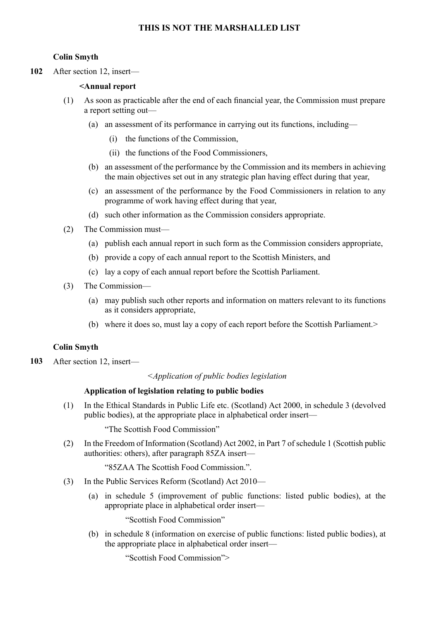#### **Colin Smyth**

**102** After section 12, insert—

#### **<Annual report**

- (1) As soon as practicable after the end of each financial year, the Commission must prepare a report setting out—
	- (a) an assessment of its performance in carrying out its functions, including—
		- (i) the functions of the Commission,
		- (ii) the functions of the Food Commissioners,
	- (b) an assessment of the performance by the Commission and its members in achieving the main objectives set out in any strategic plan having effect during that year,
	- (c) an assessment of the performance by the Food Commissioners in relation to any programme of work having effect during that year,
	- (d) such other information as the Commission considers appropriate.
- (2) The Commission must—
	- (a) publish each annual report in such form as the Commission considers appropriate,
	- (b) provide a copy of each annual report to the Scottish Ministers, and
	- (c) lay a copy of each annual report before the Scottish Parliament.
- (3) The Commission—
	- (a) may publish such other reports and information on matters relevant to its functions as it considers appropriate,
	- (b) where it does so, must lay a copy of each report before the Scottish Parliament.>

#### **Colin Smyth**

**103** After section 12, insert—

*<Application of public bodies legislation* 

#### **Application of legislation relating to public bodies**

(1) In the Ethical Standards in Public Life etc. (Scotland) Act 2000, in schedule 3 (devolved public bodies), at the appropriate place in alphabetical order insert—

"The Scottish Food Commission"

(2) In the Freedom of Information (Scotland) Act 2002, in Part 7 of schedule 1 (Scottish public authorities: others), after paragraph 85ZA insert—

"85ZAA The Scottish Food Commission.".

- (3) In the Public Services Reform (Scotland) Act 2010—
	- (a) in schedule 5 (improvement of public functions: listed public bodies), at the appropriate place in alphabetical order insert—

"Scottish Food Commission"

(b) in schedule 8 (information on exercise of public functions: listed public bodies), at the appropriate place in alphabetical order insert—

"Scottish Food Commission">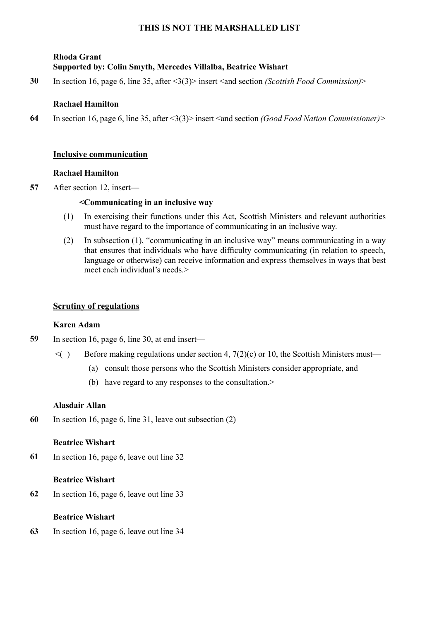# **Rhoda Grant Supported by: Colin Smyth, Mercedes Villalba, Beatrice Wishart**

**30** In section 16, page 6, line 35, after <3(3)> insert <and section *(Scottish Food Commission)*>

## **Rachael Hamilton**

**64** In section 16, page 6, line 35, after <3(3)> insert <and section *(Good Food Nation Commissioner)>* 

## **Inclusive communication**

## **Rachael Hamilton**

**57** After section 12, insert—

## **<Communicating in an inclusive way**

- (1) In exercising their functions under this Act, Scottish Ministers and relevant authorities must have regard to the importance of communicating in an inclusive way.
- (2) In subsection (1), "communicating in an inclusive way" means communicating in a way that ensures that individuals who have difficulty communicating (in relation to speech, language or otherwise) can receive information and express themselves in ways that best meet each individual's needs.>

## **Scrutiny of regulations**

## **Karen Adam**

- **59** In section 16, page 6, line 30, at end insert—
	- $\leq$  Before making regulations under section 4, 7(2)(c) or 10, the Scottish Ministers must—
		- (a) consult those persons who the Scottish Ministers consider appropriate, and
		- (b) have regard to any responses to the consultation.>

## **Alasdair Allan**

**60** In section 16, page 6, line 31, leave out subsection (2)

## **Beatrice Wishart**

**61** In section 16, page 6, leave out line 32

## **Beatrice Wishart**

**62** In section 16, page 6, leave out line 33

## **Beatrice Wishart**

**63** In section 16, page 6, leave out line 34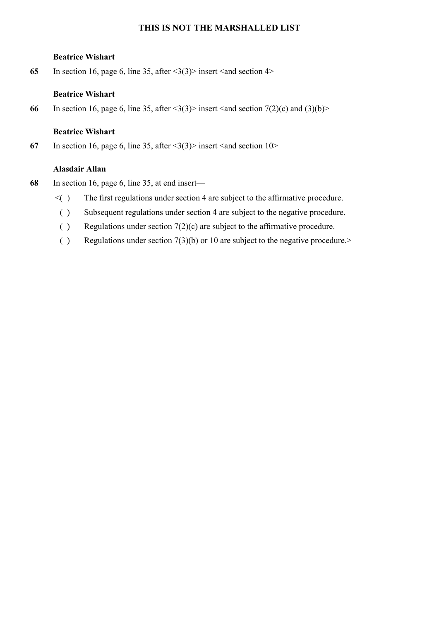#### **Beatrice Wishart**

65 In section 16, page 6, line 35, after  $\langle 3(3) \rangle$  insert  $\langle 3 \rangle$  section 4>

## **Beatrice Wishart**

**66** In section 16, page 6, line 35, after  $\langle 3(3) \rangle$  insert  $\langle 3 \rangle$  and  $\langle 2(0) \rangle$  and  $\langle 3(0) \rangle$ 

## **Beatrice Wishart**

67 In section 16, page 6, line 35, after  $\langle 3(3) \rangle$  insert  $\langle 3nd \rangle$  section 10>

## **Alasdair Allan**

- **68** In section 16, page 6, line 35, at end insert—
	- $\leq$  The first regulations under section 4 are subject to the affirmative procedure.
		- ( ) Subsequent regulations under section 4 are subject to the negative procedure.
		- ( ) Regulations under section  $7(2)(c)$  are subject to the affirmative procedure.
		- ( ) Regulations under section  $7(3)(b)$  or 10 are subject to the negative procedure.>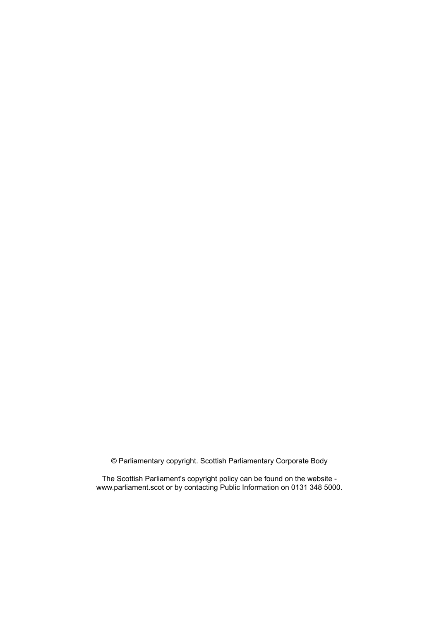© Parliamentary copyright. Scottish Parliamentary Corporate Body

The Scottish Parliament's copyright policy can be found on the website www.parliament.scot or by contacting Public Information on 0131 348 5000.